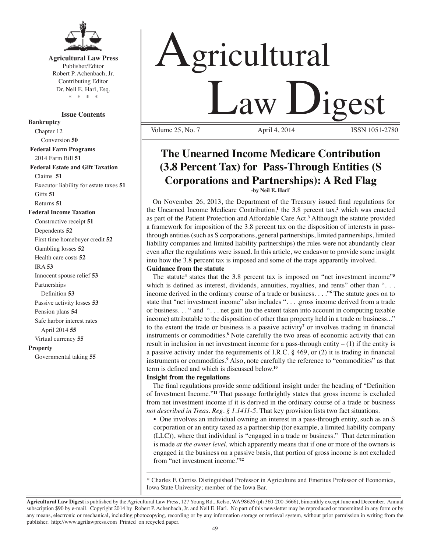

#### **Agricultural Law Press** Publisher/Editor Robert P. Achenbach, Jr. Contributing Editor Dr. Neil E. Harl, Esq.

\* \* \* \*

**Issue Contents**

**Bankruptcy**

Chapter 12 Conversion **50 Federal Farm Programs** 2014 Farm Bill **51 Federal Estate and Gift Taxation** Claims **51** Executor liability for estate taxes **51** Gifts **51** Returns **51**

#### **Federal Income Taxation**

Constructive receipt **51** Dependents **52** First time homebuyer credit **52** Gambling losses **52** Health care costs **52** IRA **53** Innocent spouse relief **53** Partnerships Definition **53** Passive activity losses **53** Pension plans **54** Safe harbor interest rates April 2014 **55** Virtual currency **55 Property** Governmental taking **55**

# Agricultural Law Digest Volume 25, No. 7

## **The Unearned Income Medicare Contribution (3.8 Percent Tax) for Pass-Through Entities (S Corporations and Partnerships): A Red Flag**

**-by Neil E. Harl\*** 

 On November 26, 2013, the Department of the Treasury issued final regulations for the Unearned Income Medicare Contribution,**<sup>1</sup>** the 3.8 percent tax,**<sup>2</sup>** which was enacted as part of the Patient Protection and Affordable Care Act.**<sup>3</sup>** Although the statute provided a framework for imposition of the 3.8 percent tax on the disposition of interests in passthrough entities (such as S corporations, general partnerships, limited partnerships, limited liability companies and limited liability partnerships) the rules were not abundantly clear even after the regulations were issued. In this article, we endeavor to provide some insight into how the 3.8 percent tax is imposed and some of the traps apparently involved.

#### **Guidance from the statute**

The statute<sup>4</sup> states that the 3.8 percent tax is imposed on "net investment income"<sup>5</sup> which is defined as interest, dividends, annuities, royalties, and rents" other than "... income derived in the ordinary course of a trade or business. . . ."**<sup>6</sup>** The statute goes on to state that "net investment income" also includes "... .gross income derived from a trade or business. . . " and ". . . net gain (to the extent taken into account in computing taxable income) attributable to the disposition of other than property held in a trade or business..." to the extent the trade or business is a passive activity**<sup>7</sup>** or involves trading in financial instruments or commodities.**<sup>8</sup>** Note carefully the two areas of economic activity that can result in inclusion in net investment income for a pass-through entity  $- (1)$  if the entity is a passive activity under the requirements of I.R.C. § 469, or (2) it is trading in financial instruments or commodities.**<sup>9</sup>** Also, note carefully the reference to "commodities" as that term is defined and which is discussed below.**<sup>10</sup>**

#### **Insight from the regulations**

The final regulations provide some additional insight under the heading of "Definition of Investment Income."**<sup>11</sup>** That passage forthrightly states that gross income is excluded from net investment income if it is derived in the ordinary course of a trade or business *not described in Treas. Reg. § 1.1411-5.* That key provision lists two fact situations.

• One involves an individual owning an interest in a pass-through entity, such as an S corporation or an entity taxed as a partnership (for example, a limited liability company (LLC)), where that individual is "engaged in a trade or business." That determination is made *at the owner level,* which apparently means that if one or more of the owners is engaged in the business on a passive basis, that portion of gross income is not excluded from "net investment income."**<sup>12</sup>**

\* Charles F. Curtiss Distinguished Professor in Agriculture and Emeritus Professor of Economics, Iowa State University; member of the Iowa Bar.

\_\_\_\_\_\_\_\_\_\_\_\_\_\_\_\_\_\_\_\_\_\_\_\_\_\_\_\_\_\_\_\_\_\_\_\_\_\_\_\_\_\_\_\_\_\_\_\_\_\_\_\_\_\_\_\_\_\_\_\_\_\_\_\_\_\_\_\_\_\_

**Agricultural Law Digest** is published by the Agricultural Law Press, 127 Young Rd., Kelso, WA 98626 (ph 360-200-5666), bimonthly except June and December. Annual subscription \$90 by e-mail. Copyright 2014 by Robert P. Achenbach, Jr. and Neil E. Harl. No part of this newsletter may be reproduced or transmitted in any form or by any means, electronic or mechanical, including photocopying, recording or by any information storage or retrieval system, without prior permission in writing from the publisher. http://www.agrilawpress.com Printed on recycled paper.